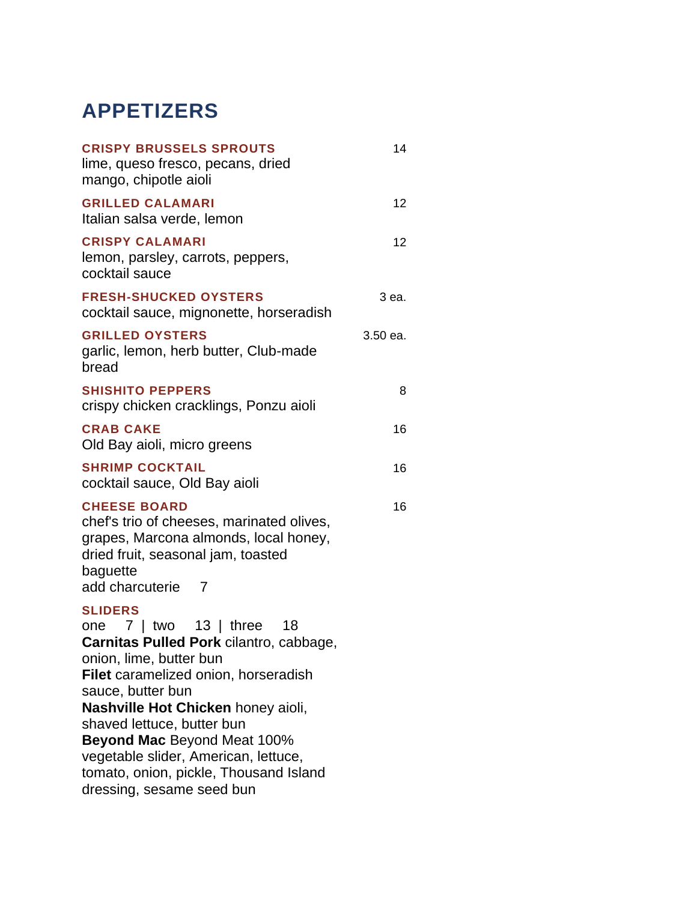# **APPETIZERS**

| <b>CRISPY BRUSSELS SPROUTS</b><br>lime, queso fresco, pecans, dried<br>mango, chipotle aioli                                                                                                                                                                                                                                                                                                                   | 14       |
|----------------------------------------------------------------------------------------------------------------------------------------------------------------------------------------------------------------------------------------------------------------------------------------------------------------------------------------------------------------------------------------------------------------|----------|
| <b>GRILLED CALAMARI</b><br>Italian salsa verde, lemon                                                                                                                                                                                                                                                                                                                                                          | 12       |
| <b>CRISPY CALAMARI</b><br>lemon, parsley, carrots, peppers,<br>cocktail sauce                                                                                                                                                                                                                                                                                                                                  | 12       |
| <b>FRESH-SHUCKED OYSTERS</b><br>cocktail sauce, mignonette, horseradish                                                                                                                                                                                                                                                                                                                                        | 3 ea.    |
| <b>GRILLED OYSTERS</b><br>garlic, lemon, herb butter, Club-made<br>bread                                                                                                                                                                                                                                                                                                                                       | 3.50 ea. |
| <b>SHISHITO PEPPERS</b><br>crispy chicken cracklings, Ponzu aioli                                                                                                                                                                                                                                                                                                                                              | 8        |
| <b>CRAB CAKE</b><br>Old Bay aioli, micro greens                                                                                                                                                                                                                                                                                                                                                                | 16       |
| <b>SHRIMP COCKTAIL</b><br>cocktail sauce, Old Bay aioli                                                                                                                                                                                                                                                                                                                                                        | 16       |
| <b>CHEESE BOARD</b><br>chef's trio of cheeses, marinated olives,<br>grapes, Marcona almonds, local honey,<br>dried fruit, seasonal jam, toasted<br>baguette<br>add charcuterie<br>7                                                                                                                                                                                                                            | 16       |
| <b>SLIDERS</b><br>one $7  $ two $13  $ three<br>18<br>Carnitas Pulled Pork cilantro, cabbage,<br>onion, lime, butter bun<br>Filet caramelized onion, horseradish<br>sauce, butter bun<br>Nashville Hot Chicken honey aioli,<br>shaved lettuce, butter bun<br><b>Beyond Mac Beyond Meat 100%</b><br>vegetable slider, American, lettuce,<br>tomato, onion, pickle, Thousand Island<br>dressing, sesame seed bun |          |
|                                                                                                                                                                                                                                                                                                                                                                                                                |          |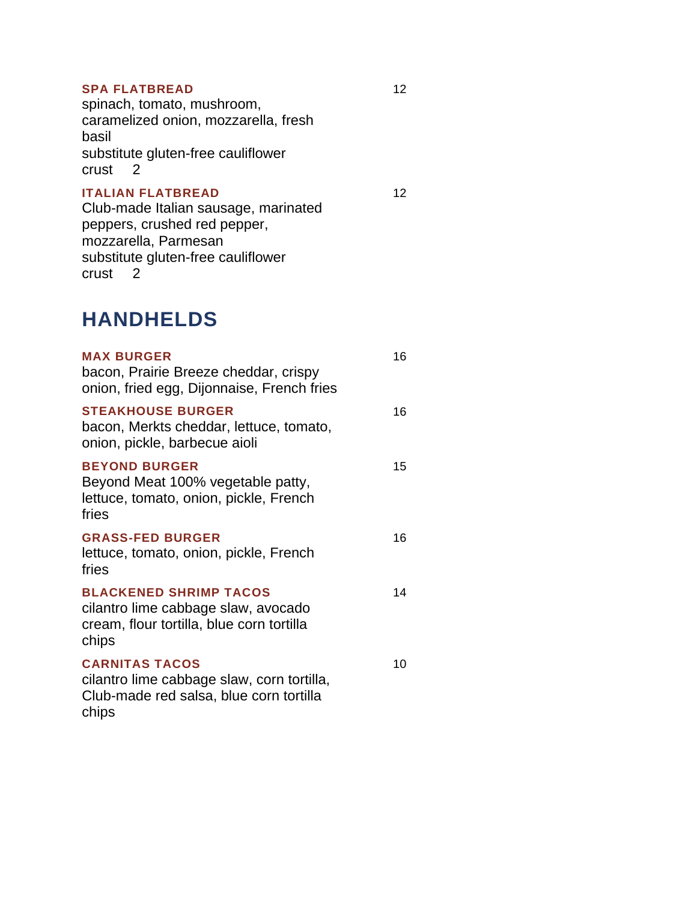#### **SPA FLATBREAD**

spinach, tomato, mushroom, caramelized onion, mozzarella, fresh basil substitute gluten-free cauliflower crust 2

### **ITALIAN FLATBREAD**

12

### Club-made Italian sausage, marinated peppers, crushed red pepper, mozzarella, Parmesan substitute gluten-free cauliflower crust 2

### **HANDHELDS**

| <b>MAX BURGER</b><br>bacon, Prairie Breeze cheddar, crispy<br>onion, fried egg, Dijonnaise, French fries                   | 16 |
|----------------------------------------------------------------------------------------------------------------------------|----|
| <b>STEAKHOUSE BURGER</b><br>bacon, Merkts cheddar, lettuce, tomato,<br>onion, pickle, barbecue aioli                       | 16 |
| <b>BEYOND BURGER</b><br>Beyond Meat 100% vegetable patty,<br>lettuce, tomato, onion, pickle, French<br>fries               | 15 |
| <b>GRASS-FED BURGER</b><br>lettuce, tomato, onion, pickle, French<br>fries                                                 | 16 |
| <b>BLACKENED SHRIMP TACOS</b><br>cilantro lime cabbage slaw, avocado<br>cream, flour tortilla, blue corn tortilla<br>chips | 14 |
| <b>CARNITAS TACOS</b><br>cilantro lime cabbage slaw, corn tortilla,<br>Club-made red salsa, blue corn tortilla<br>chips    | 10 |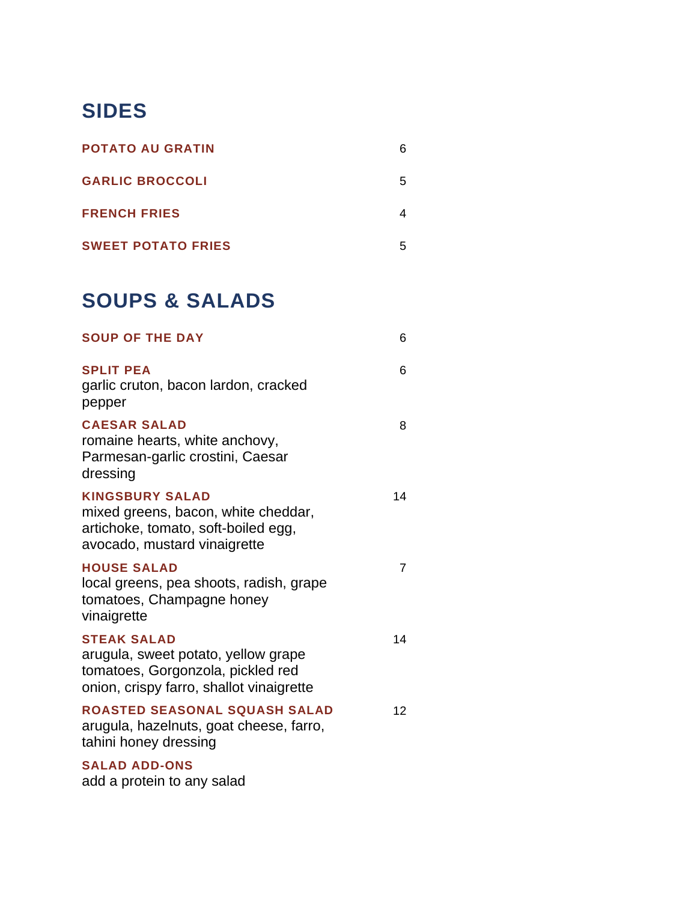# **SIDES**

| <b>POTATO AU GRATIN</b>   |  |
|---------------------------|--|
| <b>GARLIC BROCCOLI</b>    |  |
| <b>FRENCH FRIES</b>       |  |
| <b>SWEET POTATO FRIES</b> |  |

## **SOUPS & SALADS**

| <b>SOUP OF THE DAY</b>                                                                                                                     | 6               |
|--------------------------------------------------------------------------------------------------------------------------------------------|-----------------|
| <b>SPLIT PEA</b><br>garlic cruton, bacon lardon, cracked<br>pepper                                                                         | 6               |
| <b>CAESAR SALAD</b><br>romaine hearts, white anchovy,<br>Parmesan-garlic crostini, Caesar<br>dressing                                      | 8               |
| <b>KINGSBURY SALAD</b><br>mixed greens, bacon, white cheddar,<br>artichoke, tomato, soft-boiled egg,<br>avocado, mustard vinaigrette       | 14              |
| <b>HOUSE SALAD</b><br>local greens, pea shoots, radish, grape<br>tomatoes, Champagne honey<br>vinaigrette                                  | $\overline{7}$  |
| <b>STEAK SALAD</b><br>arugula, sweet potato, yellow grape<br>tomatoes, Gorgonzola, pickled red<br>onion, crispy farro, shallot vinaigrette | 14              |
| ROASTED SEASONAL SQUASH SALAD<br>arugula, hazelnuts, goat cheese, farro,<br>tahini honey dressing                                          | 12 <sup>°</sup> |
| <b>SALAD ADD-ONS</b>                                                                                                                       |                 |

add a protein to any salad